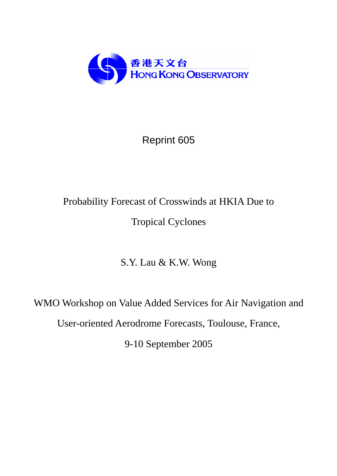

## Reprint 605

# Probability Forecast of Crosswinds at HKIA Due to Tropical Cyclones

S.Y. Lau & K.W. Wong

WMO Workshop on Value Added Services for Air Navigation and User-oriented Aerodrome Forecasts, Toulouse, France, 9-10 September 2005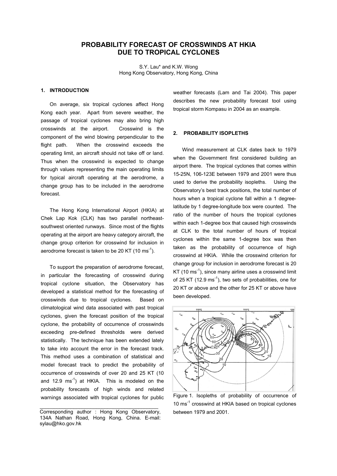### **PROBABILITY FORECAST OF CROSSWINDS AT HKIA DUE TO TROPICAL CYCLONES**

S.Y. Lau\* and K.W. Wong Hong Kong Observatory, Hong Kong, China

#### **1. INTRODUCTION**

On average, six tropical cyclones affect Hong Kong each year. Apart from severe weather, the passage of tropical cyclones may also bring high crosswinds at the airport. Crosswind is the component of the wind blowing perpendicular to the flight path. When the crosswind exceeds the operating limit, an aircraft should not take off or land. Thus when the crosswind is expected to change through values representing the main operating limits for typical aircraft operating at the aerodrome, a change group has to be included in the aerodrome forecast.

The Hong Kong International Airport (HKIA) at Chek Lap Kok (CLK) has two parallel northeastsouthwest oriented runways. Since most of the flights operating at the airport are heavy category aircraft, the change group criterion for crosswind for inclusion in aerodrome forecast is taken to be 20 KT (10 ms<sup>-1</sup>).

To support the preparation of aerodrome forecast, in particular the forecasting of crosswind during tropical cyclone situation, the Observatory has developed a statistical method for the forecasting of crosswinds due to tropical cyclones. Based on climatological wind data associated with past tropical cyclones, given the forecast position of the tropical cyclone, the probability of occurrence of crosswinds exceeding pre-defined thresholds were derived statistically. The technique has been extended lately to take into account the error in the forecast track. This method uses a combination of statistical and model forecast track to predict the probability of occurrence of crosswinds of over 20 and 25 KT (10 and 12.9  $\text{ms}^{-1}$ ) at HKIA. This is modeled on the probability forecasts of high winds and related warnings associated with tropical cyclones for public

 $\mathcal{L}_\text{max}$  , which is a set of the set of the set of the set of the set of the set of the set of the set of the set of the set of the set of the set of the set of the set of the set of the set of the set of the set of

weather forecasts (Lam and Tai 2004). This paper describes the new probability forecast tool using tropical storm Kompasu in 2004 as an example.

#### **2. PROBABILITY ISOPLETHS**

Wind measurement at CLK dates back to 1979 when the Government first considered building an airport there. The tropical cyclones that comes within 15-25N, 106-123E between 1979 and 2001 were thus used to derive the probability isopleths. Using the Observatory's best track positions, the total number of hours when a tropical cyclone fall within a 1 degreelatitude by 1 degree-longitude box were counted. The ratio of the number of hours the tropical cyclones within each 1-degree box that caused high crosswinds at CLK to the total number of hours of tropical cyclones within the same 1-degree box was then taken as the probability of occurrence of high crosswind at HKIA. While the crosswind criterion for change group for inclusion in aerodrome forecast is 20 KT (10  $\text{ms}^{-1}$ ), since many airline uses a crosswind limit of 25 KT (12.9 ms<sup>-1</sup>), two sets of probabilities, one for 20 KT or above and the other for 25 KT or above have been developed.



Figure 1. Isopleths of probability of occurrence of 10 ms<sup>-1</sup> crosswind at HKIA based on tropical cyclones between 1979 and 2001.

Corresponding author : Hong Kong Observatory, 134A Nathan Road, Hong Kong, China. E-mail: sylau@hko.gov.hk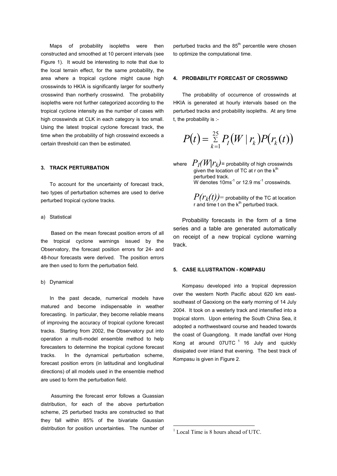Maps of probability isopleths were then constructed and smoothed at 10 percent intervals (see Figure 1). It would be interesting to note that due to the local terrain effect, for the same probability, the area where a tropical cyclone might cause high crosswinds to HKIA is significantly larger for southerly crosswind than northerly crosswind. The probability isopleths were not further categorized according to the tropical cyclone intensity as the number of cases with high crosswinds at CLK in each category is too small. Using the latest tropical cyclone forecast track, the time when the probability of high crosswind exceeds a certain threshold can then be estimated.

#### **3. TRACK PERTURBATION**

To account for the uncertainty of forecast track, two types of perturbation schemes are used to derive perturbed tropical cyclone tracks.

#### a) Statistical

Based on the mean forecast position errors of all the tropical cyclone warnings issued by the Observatory, the forecast position errors for 24- and 48-hour forecasts were derived. The position errors are then used to form the perturbation field.

#### b) Dynamical

In the past decade, numerical models have matured and become indispensable in weather forecasting. In particular, they become reliable means of improving the accuracy of tropical cyclone forecast tracks. Starting from 2002, the Observatory put into operation a multi-model ensemble method to help forecasters to determine the tropical cyclone forecast tracks. In the dynamical perturbation scheme, forecast position errors (in latitudinal and longitudinal directions) of all models used in the ensemble method are used to form the perturbation field.

Assuming the forecast error follows a Guassian distribution, for each of the above perturbation scheme, 25 perturbed tracks are constructed so that they fall within 85% of the bivariate Gaussian distribution for position uncertainties. The number of perturbed tracks and the  $85<sup>th</sup>$  percentile were chosen to optimize the computational time.

#### **4. PROBABILITY FORECAST OF CROSSWIND**

The probability of occurrence of crosswinds at HKIA is generated at hourly intervals based on the perturbed tracks and probability isopleths. At any time t, the probability is :-

$$
P(t) = \sum_{k=1}^{25} P_I(W \mid r_k) P(r_k(t))
$$

where  $P_I(W|r_k)$ = probability of high crosswinds given the location of TC at  $r$  on the  $k<sup>th</sup>$ perturbed track. W denotes  $10\,\text{ms}^{-1}$  or 12.9 ms<sup>-1</sup> crosswinds.

> $P(r_k(t))$ = probability of the TC at location r and time t on the  $k^{th}$  perturbed track.

Probability forecasts in the form of a time series and a table are generated automatically on receipt of a new tropical cyclone warning track.

#### **5. CASE ILLUSTRATION - KOMPASU**

Kompasu developed into a tropical depression over the western North Pacific about 620 km eastsoutheast of Gaoxiong on the early morning of 14 July 2004. It took on a westerly track and intensified into a tropical storm. Upon entering the South China Sea, it adopted a northwestward course and headed towards the coast of Guangdong. It made landfall over Hong Kong at around  $07$ UTC  $1$  16 July and quickly dissipated over inland that evening. The best track of Kompasu is given in Figure 2.

 $\overline{a}$ 

<span id="page-2-0"></span><sup>&</sup>lt;sup>1</sup> Local Time is 8 hours ahead of UTC.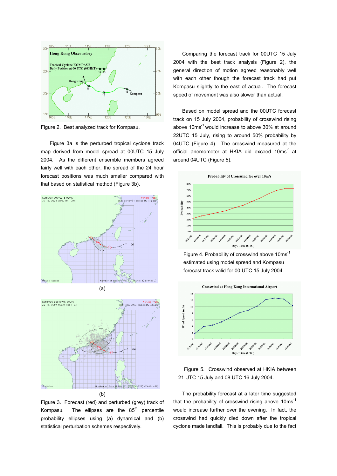

Figure 2. Best analyzed track for Kompasu.

Figure 3a is the perturbed tropical cyclone track map derived from model spread at 00UTC 15 July 2004. As the different ensemble members agreed fairly well with each other, the spread of the 24 hour forecast positions was much smaller compared with that based on statistical method (Figure 3b).





Figure 3. Forecast (red) and perturbed (grey) track of Kompasu. The ellipses are the  $85<sup>th</sup>$  percentile probability ellipses using (a) dynamical and (b) statistical perturbation schemes respectively.

Comparing the forecast track for 00UTC 15 July 2004 with the best track analysis (Figure 2), the general direction of motion agreed reasonably well with each other though the forecast track had put Kompasu slightly to the east of actual. The forecast speed of movement was also slower than actual.

Based on model spread and the 00UTC forecast track on 15 July 2004, probability of crosswind rising above 10ms<sup>-1</sup> would increase to above 30% at around 22UTC 15 July, rising to around 50% probability by 04UTC (Figure 4). The crosswind measured at the official anemometer at HKIA did exceed 10ms<sup>-1</sup> at around 04UTC (Figure 5).



Figure 4. Probability of crosswind above 10ms-1 estimated using model spread and Kompasu forecast track valid for 00 UTC 15 July 2004.





The probability forecast at a later time suggested that the probability of crosswind rising above  $10ms^{-1}$ would increase further over the evening. In fact, the crosswind had quickly died down after the tropical cyclone made landfall. This is probably due to the fact